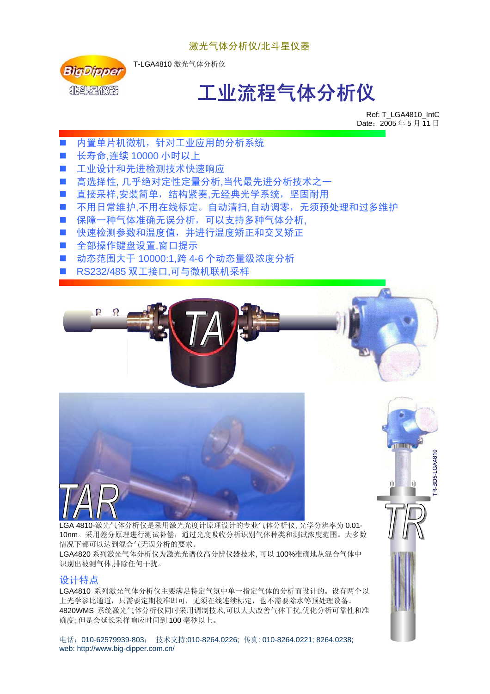

T-LGA4810 激光气体分析仪

# 工业流程气体分析仪

Ref: T\_LGA4810\_IntC Date:  $2005 45 5 11$  日

- 内置单片机微机, 针对工业应用的分析系统
- 长寿命,连续 10000 小时以上
- 工业设计和先进检测技术快速响应
- 高选择性, 几乎绝对定性定量分析,当代最先进分析技术之一
- 直接采样,安装简单,结构紧奏,无经典光学系统,坚固耐用
- 不用日常维护,不用在线标定。自动清扫,自动调零,无须预处理和过多维护
- 保障一种气体准确无误分析,可以支持多种气体分析,
- 快速检测参数和温度值,并进行温度矫正和交叉矫正
- 全部操作键盘设置.窗口提示
- 动态范围大于 10000:1,跨 4-6 个动态量级浓度分析
- RS232/485 双工接口,可与微机联机采样







4810-激光气体分析仪是采用激光光度计原理设计的专业气体分析仪, 光学分辨率为 0.01-10nm。采用差分原理进行测试补偿,通过光度吸收分析识别气体种类和测试浓度范围。大多数 情况下都可以达到混合气无误分析的要求。

LGA4820 系列激光气体分析仪为激光光谱仪高分辨仪器技术, 可以 100%准确地从混合气体中 识别出被测气体,排除任何干扰。

#### 设计特点

LGA4810 系列激光气体分析仪主要满足特定气氛中单一指定气体的分析而设计的。设有两个以 上光学参比通道,只需要定期校准即可,无须在线连续标定,也不需要除水等预处理设备。 4820WMS 系统激光气体分析仪同时采用调制技术,可以大大改善气体干扰,优化分析可靠性和准 确度; 但是会延长采样响应时间到 100 毫秒以上。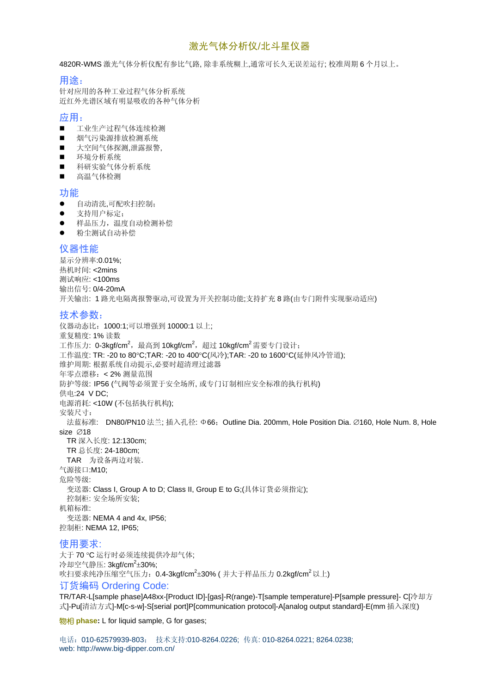4820R-WMS 激光气体分析仪配有参比气路, 除非系统糊上,通常可长久无误差运行; 校准周期 6 个月以上。

#### 用途:

针对应用的各种工业过程气体分析系统 近红外光谱区域有明显吸收的各种气体分析

#### 应用:

- 工业生产过程气体连续检测
- 烟气污染源排放检测系统
- 大空间气体探测,泄露报警,
- 环境分析系统
- 科研实验气体分析系统
- 高温气体检测

#### 功能

- 自动清洗,可配吹扫控制;
- z 支持用户标定;
- z 样品压力,温度自动检测补偿
- 粉尘测试自动补偿

#### 仪器性能

显示分辨率:0.01%; 热机时间: <2mins 测试响应: <100ms 输出信号: 0/4-20mA 开关输出: 1 路光电隔离报警驱动,可设置为开关控制功能;支持扩充 8 路(由专门附件实现驱动适应)

#### 技术参数:

仪器动态比: 1000:1;可以增强到 10000:1 以上; 重复精度: 1% 读数 工作压力: 0-3kgf/cm<sup>2</sup>,最高到 10kgf/cm<sup>2</sup>,超过 10kgf/cm<sup>2</sup>需要专门设计; 工作温度: TR: -20 to 80°C;TAR: -20 to 400°C(风冷);TAR: -20 to 1600°C(延伸风冷管道); 维护周期: 根据系统自动提示,必要时超清理过滤器 年零点漂移:< 2% 测量范围 防护等级: IP56 (气阀等必须置于安全场所, 或专门订制相应安全标准的执行机构) 供电:24 V DC; 电源消耗: <10W (不包括执行机构); 安装尺寸: 法蓝标准: DN80/PN10 法兰; 插入孔径: Φ66; Outline Dia. 200mm, Hole Position Dia. ∅160, Hole Num. 8, Hole size ∅18 TR 深入长度: 12:130cm; TR 总长度: 24-180cm; TAR 为设备两边对装. 气源接口:M10; 危险等级: 变送器: Class I, Group A to D; Class II, Group E to G;(具体订货必须指定); 控制柜: 安全场所安装; 机箱标准: 变送器: NEMA 4 and 4x, IP56; 控制柜: NEMA 12, IP65;

#### 使用要求:

大于 70 °C 运行时必须连续提供冷却气体; 冷却空气静压: 3kgf/cm<sup>2</sup>±30%; 吹扫要求纯净压缩空气压力:0.4-3kgf/cm<sup>2</sup>±30% ( 并大于样品压力 0.2kgf/cm<sup>2</sup> 以上) 订货编码 Ordering Code:

TR/TAR-L[sample phase]A48xx-[Product ID]-[gas]-R(range)-T[sample temperature]-P[sample pressure]- C[冷却方 式]-Pu[清洁方式]-M[c-s-w]-S[serial port]P[communication protocol]-A[analog output standard]-E(mm 插入深度)

物相 **phase:** L for liquid sample, G for gases;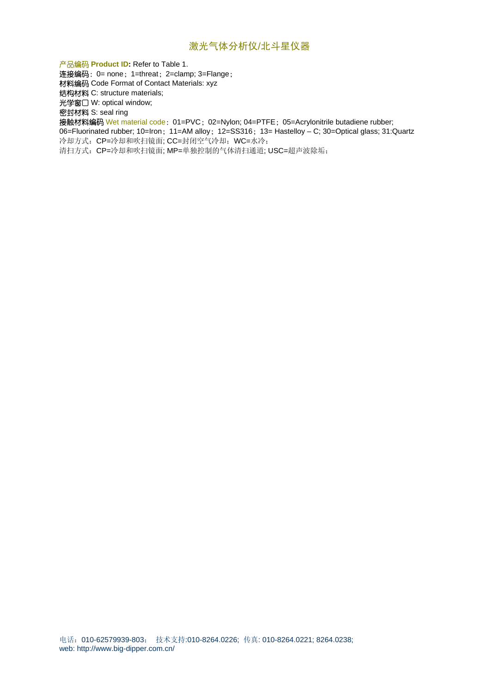产品编码 **Product ID:** Refer to Table 1.

连接编码: 0= none; 1=threat; 2=clamp; 3=Flange;

材料编码 Code Format of Contact Materials: xyz

结构材料 C: structure materials;

光学窗口 W: optical window;

密封材料 S: seal ring

接触材料编码 Wet material code: 01=PVC; 02=Nylon; 04=PTFE; 05=Acrylonitrile butadiene rubber;

06=Fluorinated rubber; 10=Iron; 11=AM alloy; 12=SS316; 13= Hastelloy – C; 30=Optical glass; 31:Quartz 冷却方式:CP=冷却和吹扫镜面; CC=封闭空气冷却;WC=水冷;

清扫方式:CP=冷却和吹扫镜面; MP=单独控制的气体清扫通道; USC=超声波除垢;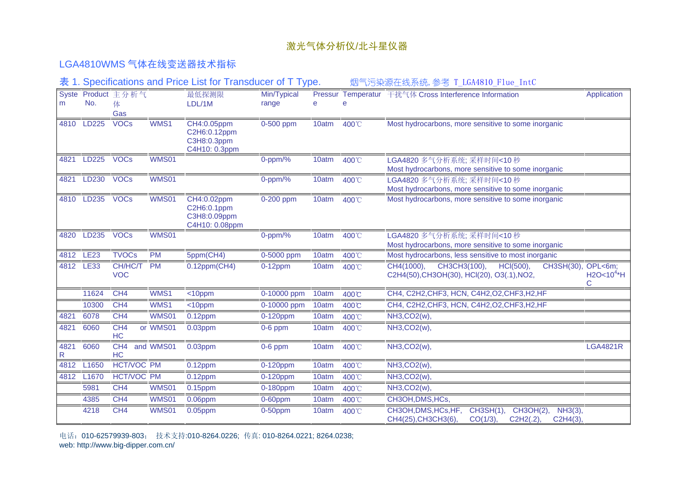#### LGA4810WMS 气体在线变送器技术指标

表 1. Specifications and Price List for Transducer of T Type. 如气污染源在线系统,参考 T\_LGA4810\_Flue\_IntC

| m         | No.               | Syste Product 主分析气<br>体<br>Gas |              | 最低探测限<br>LDL/1M                                              | Min/Typical<br>range | e     |       | Pressur Temperatur 干扰气体 Cross Interference Information                                                                 | Application                      |
|-----------|-------------------|--------------------------------|--------------|--------------------------------------------------------------|----------------------|-------|-------|------------------------------------------------------------------------------------------------------------------------|----------------------------------|
| 4810      | LD225             | <b>VOCs</b>                    | WMS1         | CH4:0.05ppm<br>C2H6:0.12ppm<br>C3H8:0.3ppm<br>C4H10: 0.3ppm  | 0-500 ppm            | 10atm | 400°C | Most hydrocarbons, more sensitive to some inorganic                                                                    |                                  |
| 4821      | LD225             | <b>VOCs</b>                    | <b>WMS01</b> |                                                              | $0$ -ppm/%           | 10atm | 400°C | LGA4820 多气分析系统; 采样时间<10 秒<br>Most hydrocarbons, more sensitive to some inorganic                                       |                                  |
| 4821      | LD230             | <b>VOCs</b>                    | <b>WMS01</b> |                                                              | $0$ -ppm/%           | 10atm | 400°C | LGA4820 多气分析系统: 采样时间<10 秒<br>Most hydrocarbons, more sensitive to some inorganic                                       |                                  |
| 4810      | LD235             | <b>VOCs</b>                    | <b>WMS01</b> | CH4:0.02ppm<br>C2H6:0.1ppm<br>C3H8:0.09ppm<br>C4H10: 0.08ppm | 0-200 ppm            | 10atm | 400°C | Most hydrocarbons, more sensitive to some inorganic                                                                    |                                  |
| 4820      | LD235             | <b>VOCs</b>                    | <b>WMS01</b> |                                                              | $0$ -ppm/%           | 10atm | 400°C | LGA4820 多气分析系统; 采样时间<10 秒<br>Most hydrocarbons, more sensitive to some inorganic                                       |                                  |
| 4812      | <b>LE23</b>       | <b>TVOCs</b>                   | <b>PM</b>    | 5ppm(CH4)                                                    | 0-5000 ppm           | 10atm | 400°C | Most hydrocarbons, less sensitive to most inorganic                                                                    |                                  |
| 4812      | <b>LE33</b>       | CH/HC/T<br><b>VOC</b>          | <b>PM</b>    | $0.12$ ppm(CH4)                                              | $0-12$ ppm           | 10atm | 400°C | CH4(1000),<br>CH3CH3(100),<br>HCI(500),<br>CH3SH(30),<br>C2H4(50), CH3OH(30), HCl(20), O3(.1), NO2,                    | OPL<6m:<br>$H2O < 10^{4} H$<br>С |
|           | 11624             | CH4                            | WMS1         | <10ppm                                                       | 0-10000 ppm          | 10atm | 400°C | CH4, C2H2, CHF3, HCN, C4H2, O2, CHF3, H2, HF                                                                           |                                  |
|           | 10300             | CH <sub>4</sub>                | WMS1         | <10ppm                                                       | 0-10000 ppm          | 10atm | 400°C | CH4, C2H2, CHF3, HCN, C4H2, O2, CHF3, H2, HF                                                                           |                                  |
| 4821      | 6078              | CH <sub>4</sub>                | <b>WMS01</b> | $0.12$ ppm                                                   | 0-120ppm             | 10atm | 400°C | NH3, CO2(w),                                                                                                           |                                  |
| 4821      | 6060              | CH <sub>4</sub><br>HC          | or WMS01     | $0.03$ ppm                                                   | $0-6$ ppm            | 10atm | 400°C | NH3, CO2(w),                                                                                                           |                                  |
| 4821<br>R | 6060              | CH4<br>HC                      | and WMS01    | $0.03$ ppm                                                   | $0-6$ ppm            | 10atm | 400°C | NH3, CO <sub>2</sub> (w),                                                                                              | <b>LGA4821R</b>                  |
| 4812      | L <sub>1650</sub> | <b>HCT/VOC PM</b>              |              | $0.12$ ppm                                                   | 0-120ppm             | 10atm | 400°C | <b>NH3,CO2(w),</b>                                                                                                     |                                  |
| 4812      | L <sub>1670</sub> | <b>HCT/VOC PM</b>              |              | $0.12$ ppm                                                   | 0-120ppm             | 10atm | 400°C | NH3, CO <sub>2</sub> (w),                                                                                              |                                  |
|           | 5981              | CH <sub>4</sub>                | <b>WMS01</b> | $0.15$ ppm                                                   | 0-180ppm             | 10atm | 400°C | <b>NH3,CO2(w),</b>                                                                                                     |                                  |
|           | 4385              | CH <sub>4</sub>                | <b>WMS01</b> | $0.06$ ppm                                                   | $0-60$ ppm           | 10atm | 400°C | CH3OH, DMS, HCs,                                                                                                       |                                  |
|           | 4218              | CH <sub>4</sub>                | <b>WMS01</b> | 0.05ppm                                                      | $0-50$ ppm           | 10atm | 400°C | CH3OH, DMS, HCs, HF,<br>CH3SH(1),<br>CH3OH(2),<br>NH3(3),<br>CH4(25), CH3CH3(6)<br>CO(1/3)<br>C2H2(.2),<br>$C2H4(3)$ , |                                  |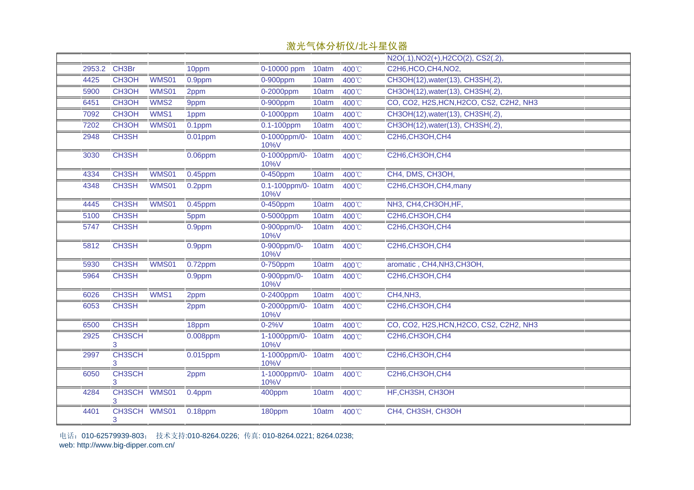|        |                    |              |            |                             |       |       | N2O(.1), NO2(+), H2CO(2), CS2(.2)       |
|--------|--------------------|--------------|------------|-----------------------------|-------|-------|-----------------------------------------|
| 2953.2 | CH <sub>3</sub> Br |              | 10ppm      | 0-10000 ppm                 | 10atm | 400°C | C2H6, HCO, CH4, NO2,                    |
| 4425   | CH <sub>3</sub> OH | WMS01        | 0.9ppm     | $0-900$ ppm                 | 10atm | 400°C | CH3OH(12), water(13), CH3SH(.2),        |
| 5900   | CH <sub>3</sub> OH | <b>WMS01</b> | 2ppm       | 0-2000ppm                   | 10atm | 400°C | CH3OH(12), water(13), CH3SH(.2),        |
| 6451   | CH <sub>3</sub> OH | WMS2         | 9ppm       | $0-900$ ppm                 | 10atm | 400°C | CO, CO2, H2S, HCN, H2CO, CS2, C2H2, NH3 |
| 7092   | CH <sub>3</sub> OH | WMS1         | 1ppm       | 0-1000ppm                   | 10atm | 400°C | CH3OH(12), water(13), CH3SH(.2),        |
| 7202   | CH3OH              | <b>WMS01</b> | $0.1$ ppm  | $0.1 - 100$ ppm             | 10atm | 400°C | CH3OH(12), water(13), CH3SH(.2),        |
| 2948   | CH3SH              |              | $0.01$ ppm | 0-1000ppm/0-<br>10%V        | 10atm | 400°C | C2H6, CH3OH, CH4                        |
| 3030   | CH <sub>3</sub> SH |              | $0.06$ ppm | 0-1000ppm/0- 10atm<br>10%V  |       | 400°C | C2H6, CH3OH, CH4                        |
| 4334   | CH3SH              | <b>WMS01</b> | $0.45$ ppm | 0-450ppm                    | 10atm | 400°C | CH4, DMS, CH3OH,                        |
| 4348   | CH <sub>3</sub> SH | <b>WMS01</b> | 0.2ppm     | 0.1-100ppm/0- 10atm<br>10%V |       | 400°C | C2H6,CH3OH,CH4,many                     |
| 4445   | CH <sub>3</sub> SH | <b>WMS01</b> | $0.45$ ppm | 0-450ppm                    | 10atm | 400°C | NH3, CH4, CH3OH, HF,                    |
| 5100   | CH <sub>3</sub> SH |              | 5ppm       | 0-5000ppm                   | 10atm | 400°C | C2H6, CH3OH, CH4                        |
| 5747   | CH <sub>3</sub> SH |              | 0.9ppm     | 0-900ppm/0-<br>10%V         | 10atm | 400°C | C2H6, CH3OH, CH4                        |
| 5812   | CH <sub>3</sub> SH |              | 0.9ppm     | 0-900ppm/0-<br>10%V         | 10atm | 400°C | C2H6, CH3OH, CH4                        |
| 5930   | CH <sub>3</sub> SH | <b>WMS01</b> | $0.72$ ppm | 0-750ppm                    | 10atm | 400°C | aromatic, CH4,NH3,CH3OH,                |
| 5964   | CH <sub>3</sub> SH |              | 0.9ppm     | 0-900ppm/0-<br>10%V         | 10atm | 400°C | C2H6, CH3OH, CH4                        |
| 6026   | CH <sub>3</sub> SH | WMS1         | 2ppm       | 0-2400ppm                   | 10atm | 400°C | CH4, NH3,                               |
| 6053   | CH <sub>3</sub> SH |              | 2ppm       | 0-2000ppm/0-<br>10%V        | 10atm | 400°C | C2H6, CH3OH, CH4                        |
| 6500   | CH3SH              |              | 18ppm      | $0 - 2%V$                   | 10atm | 400°C | CO, CO2, H2S, HCN, H2CO, CS2, C2H2, NH3 |
| 2925   | <b>CH3SCH</b><br>3 |              | 0.008ppm   | 1-1000ppm/0-<br>10%V        | 10atm | 400°C | C2H6, CH3OH, CH4                        |
| 2997   | <b>CH3SCH</b><br>3 |              | 0.015ppm   | 1-1000ppm/0- 10atm<br>10%V  |       | 400°C | C2H6, CH3OH, CH4                        |
| 6050   | <b>CH3SCH</b><br>3 |              | 2ppm       | 1-1000ppm/0-<br>10%V        | 10atm | 400°C | C2H6, CH3OH, CH4                        |
| 4284   | CH3SCH WMS01<br>3  |              | 0.4ppm     | 400ppm                      | 10atm | 400°C | HF, CH3SH, CH3OH                        |
| 4401   | CH3SCH WMS01<br>3  |              | $0.18$ ppm | 180ppm                      | 10atm | 400°C | CH4, CH3SH, CH3OH                       |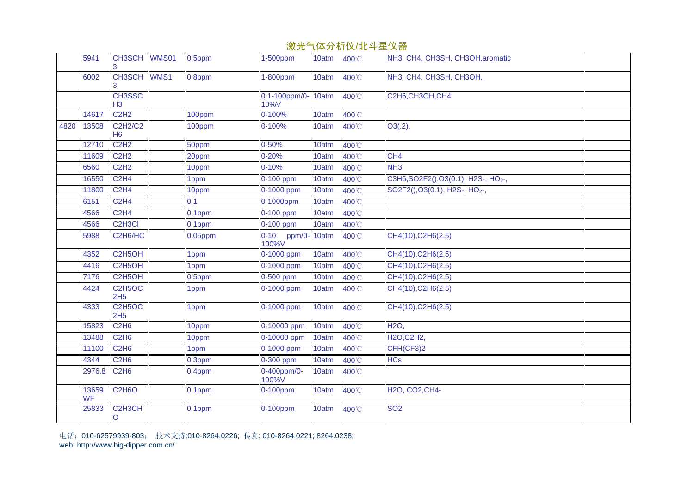|      |                    |                                               |            | ルスノレ                        |       | <u>₩₩₩₩₩</u> ₩ <del>₩₩</del> |                                                  |
|------|--------------------|-----------------------------------------------|------------|-----------------------------|-------|------------------------------|--------------------------------------------------|
|      | 5941               | CH3SCH WMS01                                  | 0.5ppm     | 1-500ppm                    | 10atm | 400°C                        | NH3, CH4, CH3SH, CH3OH, aromatic                 |
|      | 6002               | CH3SCH WMS1                                   | 0.8ppm     | 1-800ppm                    | 10atm | 400°C                        | NH3, CH4, CH3SH, CH3OH,                          |
|      |                    | CH3SSC<br>H <sub>3</sub>                      |            | 0.1-100ppm/0- 10atm<br>10%V |       | 400°C                        | C2H6, CH3OH, CH4                                 |
|      | 14617              | C <sub>2</sub> H <sub>2</sub>                 | 100ppm     | 0-100%                      | 10atm | 400°C                        |                                                  |
| 4820 | 13508              | <b>C2H2/C2</b><br>H <sub>6</sub>              | 100ppm     | 0-100%                      | 10atm | 400°C                        | O3(.2),                                          |
|      | 12710              | C2H2                                          | 50ppm      | $0 - 50%$                   | 10atm | 400°C                        |                                                  |
|      | 11609              | C2H2                                          | 20ppm      | $0 - 20%$                   | 10atm | 400°C                        | CH <sub>4</sub>                                  |
|      | 6560               | C <sub>2</sub> H <sub>2</sub>                 | 10ppm      | $0 - 10%$                   | 10atm | 400°C                        | NH3                                              |
|      | 16550              | C2H4                                          | 1ppm       | 0-100 ppm                   | 10atm | 400°C                        | C3H6, SO2F2(), O3(0.1), H2S-, HO <sub>2-</sub> , |
|      | 11800              | C <sub>2</sub> H <sub>4</sub>                 | 10ppm      | 0-1000 ppm                  | 10atm | 400°C                        | SO2F2(), O3(0.1), H2S-, HO <sub>2</sub> -,       |
|      | 6151               | <b>C2H4</b>                                   | 0.1        | 0-1000ppm                   | 10atm | 400°C                        |                                                  |
|      | 4566               | C2H4                                          | 0.1ppm     | 0-100 ppm                   | 10atm | 400°C                        |                                                  |
|      | 4566               | C <sub>2</sub> H <sub>3</sub> Cl              | 0.1ppm     | 0-100 ppm                   | 10atm | 400°C                        |                                                  |
|      | 5988               | C <sub>2</sub> H <sub>6</sub> /H <sub>C</sub> | $0.05$ ppm | 0-10 ppm/0- 10atm<br>100%V  |       | 400°C                        | CH4(10), C2H6(2.5)                               |
|      | 4352               | C2H5OH                                        | 1ppm       | 0-1000 ppm                  | 10atm | 400°C                        | CH4(10), C2H6(2.5)                               |
|      | 4416               | C2H5OH                                        | 1ppm       | 0-1000 ppm                  | 10atm | 400°C                        | CH4(10), C2H6(2.5)                               |
|      | 7176               | C <sub>2</sub> H <sub>5</sub> OH              | 0.5ppm     | 0-500 ppm                   | 10atm | 400°C                        | CH4(10), C2H6(2.5)                               |
|      | 4424               | C <sub>2</sub> H <sub>5</sub> OC<br>2H5       | 1ppm       | $0-1000$ ppm                | 10atm | 400°C                        | CH4(10), C2H6(2.5)                               |
|      | 4333               | C <sub>2</sub> H <sub>5</sub> OC<br>2H5       | 1ppm       | 0-1000 ppm                  | 10atm | 400°C                        | CH4(10), C2H6(2.5)                               |
|      | 15823              | C <sub>2</sub> H <sub>6</sub>                 | 10ppm      | 0-10000 ppm                 | 10atm | 400°C                        | <b>H2O,</b>                                      |
|      | 13488              | C <sub>2</sub> H <sub>6</sub>                 | 10ppm      | 0-10000 ppm                 | 10atm | 400°C                        | H2O, C2H2,                                       |
|      | 11100              | C <sub>2</sub> H <sub>6</sub>                 | 1ppm       | 0-1000 ppm                  | 10atm | 400°C                        | CFH(CF3)2                                        |
|      | 4344               | C <sub>2</sub> H <sub>6</sub>                 | 0.3ppm     | 0-300 ppm                   | 10atm | 400°C                        | <b>HCs</b>                                       |
|      | 2976.8             | C <sub>2</sub> H <sub>6</sub>                 | 0.4ppm     | 0-400ppm/0-<br>100%V        | 10atm | 400°C                        |                                                  |
|      | 13659<br><b>WF</b> | <b>C2H6O</b>                                  | $0.1$ ppm  | 0-100ppm                    | 10atm | 400°C                        | H2O, CO2, CH4-                                   |
|      | 25833              | C <sub>2</sub> H <sub>3</sub> CH<br>O         | $0.1$ ppm  | 0-100ppm                    | 10atm | 400°C                        | <b>SO2</b>                                       |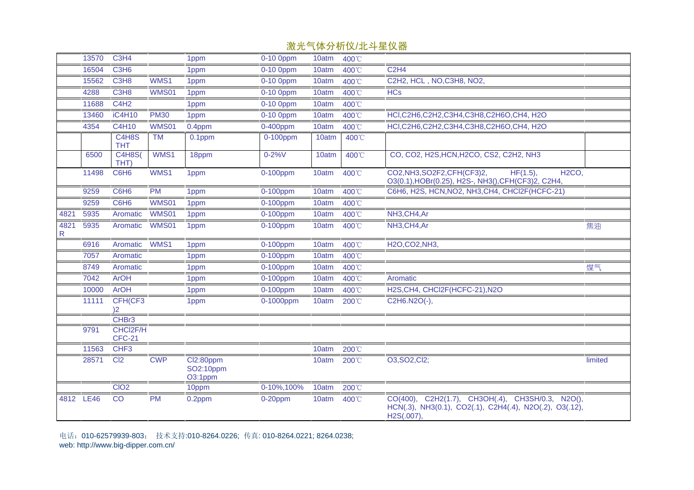|           | 13570     | C3H4                                          |              | 1ppm                              | 0-10 0ppm   | 10atm | 400°C |                                                                                                                                    |         |
|-----------|-----------|-----------------------------------------------|--------------|-----------------------------------|-------------|-------|-------|------------------------------------------------------------------------------------------------------------------------------------|---------|
|           | 16504     | <b>C3H6</b>                                   |              | 1ppm                              | 0-10 0ppm   | 10atm | 400°C | C2H4                                                                                                                               |         |
|           | 15562     | C <sub>3</sub> H <sub>8</sub>                 | WMS1         | 1ppm                              | $0-10$ Oppm | 10atm | 400°C | C2H2, HCL, NO, C3H8, NO2,                                                                                                          |         |
|           | 4288      | C <sub>3</sub> H <sub>8</sub>                 | <b>WMS01</b> | 1ppm                              | 0-10 0ppm   | 10atm | 400°C | <b>HCs</b>                                                                                                                         |         |
|           | 11688     | C4H2                                          |              | 1ppm                              | 0-10 0ppm   | 10atm | 400°C |                                                                                                                                    |         |
|           | 13460     | iC4H10                                        | <b>PM30</b>  | 1ppm                              | 0-10 0ppm   | 10atm | 400°C | HCI, C2H6, C2H2, C3H4, C3H8, C2H6O, CH4, H2O                                                                                       |         |
|           | 4354      | C4H10                                         | <b>WMS01</b> | 0.4ppm                            | 0-400ppm    | 10atm | 400°C | HCI,C2H6,C2H2,C3H4,C3H8,C2H6O,CH4, H2O                                                                                             |         |
|           |           | C <sub>4</sub> H <sub>8</sub> S<br><b>THT</b> | <b>TM</b>    | 0.1ppm                            | $0-100$ ppm | 10atm | 400°C |                                                                                                                                    |         |
|           | 6500      | <b>C4H8S(</b><br>THT)                         | WMS1         | 18ppm                             | $0 - 2%V$   | 10atm | 400°C | CO, CO2, H2S, HCN, H2CO, CS2, C2H2, NH3                                                                                            |         |
|           | 11498     | C6H6                                          | WMS1         | 1ppm                              | $0-100$ ppm | 10atm | 400°C | CO2, NH3, SO2F2, CFH(CF3)2,<br>$HF(1.5)$ ,<br>H <sub>2</sub> CO <sub>,</sub><br>O3(0.1), HOBr(0.25), H2S-, NH3(), CFH(CF3)2, C2H4, |         |
|           | 9259      | C6H6                                          | <b>PM</b>    | 1ppm                              | 0-100ppm    | 10atm | 400°C | C6H6, H2S, HCN, NO2, NH3, CH4, CHCl2F (HCFC-21)                                                                                    |         |
|           | 9259      | C6H6                                          | <b>WMS01</b> | 1ppm                              | 0-100ppm    | 10atm | 400°C |                                                                                                                                    |         |
| 4821      | 5935      | Aromatic                                      | <b>WMS01</b> | 1ppm                              | 0-100ppm    | 10atm | 400°C | NH3,CH4,Ar                                                                                                                         |         |
| 4821<br>R | 5935      | Aromatic                                      | WMS01        | 1ppm                              | 0-100ppm    | 10atm | 400°C | NH3,CH4,Ar                                                                                                                         | 焦油      |
|           | 6916      | Aromatic                                      | WMS1         | 1 <sub>ppm</sub>                  | 0-100ppm    | 10atm | 400°C | H2O,CO2,NH3,                                                                                                                       |         |
|           | 7057      | Aromatic                                      |              | 1ppm                              | 0-100ppm    | 10atm | 400°C |                                                                                                                                    |         |
|           | 8749      | Aromatic                                      |              | 1ppm                              | 0-100ppm    | 10atm | 400°C |                                                                                                                                    | 煤气      |
|           | 7042      | <b>ArOH</b>                                   |              | 1ppm                              | $0-100$ ppm | 10atm | 400°C | Aromatic                                                                                                                           |         |
|           | 10000     | <b>ArOH</b>                                   |              | 1ppm                              | 0-100ppm    | 10atm | 400°C | H2S, CH4, CHCl2F (HCFC-21), N2O                                                                                                    |         |
|           | 11111     | CFH(CF3<br>)2                                 |              | 1ppm                              | 0-1000ppm   | 10atm | 200°C | C2H6.N2O(-),                                                                                                                       |         |
|           |           | CHBr3                                         |              |                                   |             |       |       |                                                                                                                                    |         |
|           | 9791      | CHCI2F/H<br><b>CFC-21</b>                     |              |                                   |             |       |       |                                                                                                                                    |         |
|           | 11563     | CHF <sub>3</sub>                              |              |                                   |             | 10atm | 200°C |                                                                                                                                    |         |
|           | 28571     | C <sub>12</sub>                               | <b>CWP</b>   | Cl2:80ppm<br>SO2:10ppm<br>O3:1ppm |             | 10atm | 200°C | O3, SO2, Cl2;                                                                                                                      | limited |
|           |           | CIO <sub>2</sub>                              |              | 10ppm                             | 0-10%, 100% | 10atm | 200°C |                                                                                                                                    |         |
|           | 4812 LE46 | $\overline{C}$                                | <b>PM</b>    | $0.2$ ppm                         | $0-20$ ppm  | 10atm | 400°C | CO(400), C2H2(1.7), CH3OH(.4), CH3SH/0.3, N2O(),<br>HCN(.3), NH3(0.1), CO2(.1), C2H4(.4), N2O(.2), O3(.12),<br>H2S(.007),          |         |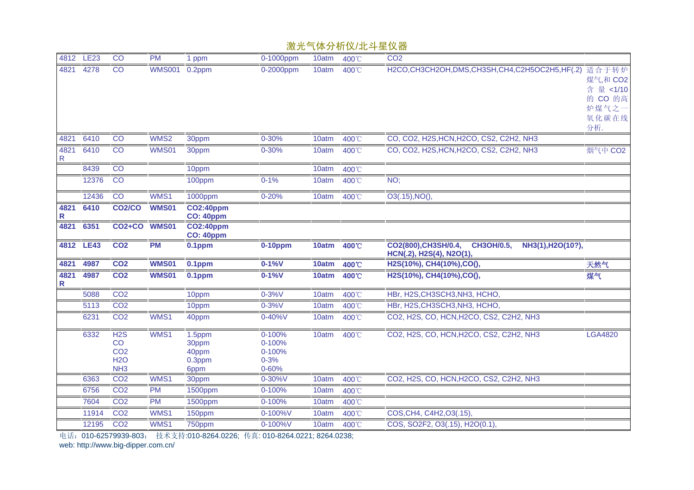|                      |             |                                                                            |               |                                            |                                                     |       |       | $P \rightarrow P P$                                                                        |                                          |
|----------------------|-------------|----------------------------------------------------------------------------|---------------|--------------------------------------------|-----------------------------------------------------|-------|-------|--------------------------------------------------------------------------------------------|------------------------------------------|
| 4812                 | <b>LE23</b> | CO                                                                         | <b>PM</b>     | 1 ppm                                      | 0-1000ppm                                           | 10atm | 400°C | CO <sub>2</sub>                                                                            |                                          |
| 4821                 | 4278        | CO                                                                         | <b>WMS001</b> | 0.2ppm                                     | 0-2000ppm                                           | 10atm | 400°C | H2CO,CH3CH2OH,DMS,CH3SH,CH4,C2H5OC2H5,HF(.2) 适合于转炉                                         | 煤气,和 CO2<br>含量 <1/10<br>的 CO 的高<br>炉煤气之一 |
|                      |             |                                                                            |               |                                            |                                                     |       |       |                                                                                            | 氧化碳在线                                    |
| 4821                 | 6410        | CO                                                                         | WMS2          | 30ppm                                      | $0 - 30%$                                           | 10atm | 400°C | CO, CO2, H2S, HCN, H2CO, CS2, C2H2, NH3                                                    | 分析.                                      |
| 4821<br>$\mathsf{R}$ | 6410        | $\overline{C}$                                                             | <b>WMS01</b>  | 30ppm                                      | $0 - 30%$                                           | 10atm | 400°C | CO, CO2, H2S, HCN, H2CO, CS2, C2H2, NH3                                                    | 烟气中 CO2                                  |
|                      | 8439        | $\overline{C}$                                                             |               | 10ppm                                      |                                                     | 10atm | 400°C |                                                                                            |                                          |
|                      | 12376       | $\overline{CO}$                                                            |               | 100ppm                                     | $0 - 1%$                                            | 10atm | 400°C | NO;                                                                                        |                                          |
|                      | 12436       | CO                                                                         | WMS1          | 1000ppm                                    | $0 - 20%$                                           | 10atm | 400°C | O3(.15), NO(),                                                                             |                                          |
| 4821<br>R            | 6410        | <b>CO2/CO</b>                                                              | <b>WMS01</b>  | <b>CO2:40ppm</b><br><b>CO: 40ppm</b>       |                                                     |       |       |                                                                                            |                                          |
| 4821                 | 6351        | CO2+CO WMS01                                                               |               | <b>CO2:40ppm</b><br><b>CO: 40ppm</b>       |                                                     |       |       |                                                                                            |                                          |
|                      | 4812 LE43   | <b>CO2</b>                                                                 | <b>PM</b>     | $0.1$ ppm                                  | $0-10$ ppm                                          | 10atm | 400°C | CO2(800), CH3SH/0.4,<br><b>CH3OH/0.5,</b><br>NH3(1), H2O(10?),<br>HCN(.2), H2S(4), N2O(1), |                                          |
| 4821                 | 4987        | CO <sub>2</sub>                                                            | <b>WMS01</b>  | $0.1$ ppm                                  | $0 - 1\%V$                                          | 10atm | 400°C | H2S(10%), CH4(10%), CO(),                                                                  | 天然气                                      |
| 4821<br>R            | 4987        | CO <sub>2</sub>                                                            | <b>WMS01</b>  | $0.1$ ppm                                  | $0 - 1\%V$                                          | 10atm | 400°C | H2S(10%), CH4(10%), CO(),                                                                  | 煤气                                       |
|                      | 5088        | CO <sub>2</sub>                                                            |               | 10ppm                                      | $0 - 3%V$                                           | 10atm | 400°C | HBr, H2S, CH3SCH3, NH3, HCHO,                                                              |                                          |
|                      | 5113        | CO <sub>2</sub>                                                            |               | 10ppm                                      | $0 - 3%V$                                           | 10atm | 400°C | HBr, H2S, CH3SCH3, NH3, HCHO,                                                              |                                          |
|                      | 6231        | CO <sub>2</sub>                                                            | WMS1          | 40ppm                                      | 0-40%V                                              | 10atm | 400°C | CO2, H2S, CO, HCN, H2CO, CS2, C2H2, NH3                                                    |                                          |
|                      | 6332        | H <sub>2</sub> S<br>CO<br>CO <sub>2</sub><br><b>H2O</b><br>NH <sub>3</sub> | WMS1          | 1.5ppm<br>30ppm<br>40ppm<br>0.3ppm<br>6ppm | 0-100%<br>0-100%<br>0-100%<br>$0 - 3%$<br>$0 - 60%$ | 10atm | 400°C | CO2, H2S, CO, HCN, H2CO, CS2, C2H2, NH3                                                    | <b>LGA4820</b>                           |
|                      | 6363        | CO <sub>2</sub>                                                            | WMS1          | 30ppm                                      | 0-30%V                                              | 10atm | 400°C | CO2, H2S, CO, HCN, H2CO, CS2, C2H2, NH3                                                    |                                          |
|                      | 6756        | CO <sub>2</sub>                                                            | <b>PM</b>     | 1500ppm                                    | 0-100%                                              | 10atm | 400°C |                                                                                            |                                          |
|                      | 7604        | CO <sub>2</sub>                                                            | <b>PM</b>     | 1500ppm                                    | 0-100%                                              | 10atm | 400°C |                                                                                            |                                          |
|                      | 11914       | CO <sub>2</sub>                                                            | WMS1          | 150ppm                                     | 0-100%V                                             | 10atm | 400°C | COS, CH4, C4H2, O3(.15).                                                                   |                                          |
|                      | 12195       | CO <sub>2</sub>                                                            | WMS1          | 750ppm                                     | 0-100%V                                             | 10atm | 400°C | COS, SO2F2, O3(.15), H2O(0.1),                                                             |                                          |
|                      |             |                                                                            |               |                                            |                                                     |       |       |                                                                                            |                                          |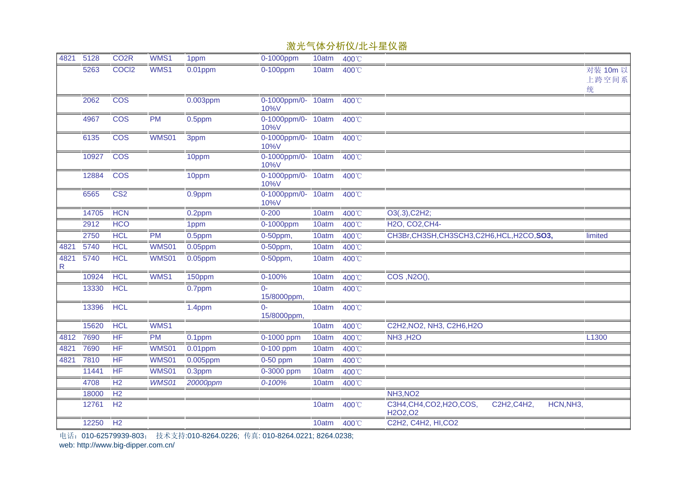| WMS1<br>4821<br>5128<br>CO <sub>2</sub> R<br>1ppm<br>0-1000ppm<br>10atm<br>400°C<br>COCI2<br>WMS1<br>5263<br>$0.01$ ppm<br>$0-100$ ppm<br>10atm<br>400°C<br>统<br>2062<br><b>COS</b><br>$0.003$ ppm<br>0-1000ppm/0- 10atm<br>400°C<br>10%V<br>0-1000ppm/0- 10atm<br><b>COS</b><br><b>PM</b><br>4967<br>$0.5$ ppm<br>400°C<br>10%V<br>0-1000ppm/0- 10atm 400°C<br><b>COS</b><br><b>WMS01</b><br>6135<br>3ppm<br>10%V<br>0-1000ppm/0- 10atm<br>10927<br><b>COS</b><br>400°C<br>10ppm<br>10%V<br>0-1000ppm/0- 10atm<br>12884<br><b>COS</b><br>10ppm<br>400°C<br>10%V<br>0-1000ppm/0- 10atm<br>6565<br>CS <sub>2</sub><br>0.9ppm<br>400°C<br>10%V<br><b>HCN</b><br>$0 - 200$<br>O3(.3), C2H2;<br>14705<br>$0.2$ ppm<br>10atm<br>400°C<br>2912<br><b>HCO</b><br>400°C<br>H2O, CO2, CH4-<br>0-1000ppm<br>10atm<br>1ppm<br>CH3Br, CH3SH, CH3SCH3, C2H6, HCL, H2CO, SO3,<br>2750<br><b>HCL</b><br><b>PM</b><br>$0.5$ ppm<br>0-50ppm,<br>10atm<br>400°C<br>limited<br>WMS01<br><b>HCL</b><br>4821<br>5740<br>$0.05$ ppm<br>0-50ppm,<br>10atm<br>400°C<br><b>HCL</b><br><b>WMS01</b><br>4821<br>5740<br>$0.05$ ppm<br>0-50ppm,<br>10atm<br>400°C<br>R<br><b>HCL</b><br>WMS1<br>COS, N2O(),<br>10924<br>150ppm<br>0-100%<br>10atm<br>400°C<br><b>HCL</b><br>13330<br>0.7ppm<br>$\Omega$<br>10atm<br>400°C<br>15/8000ppm,<br><b>HCL</b><br>13396<br>1.4ppm<br>10atm<br>400°C<br>$0-$<br>15/8000ppm,<br>WMS1<br>C2H2, NO2, NH3, C2H6, H2O<br>15620<br><b>HCL</b><br>10atm<br>400°C<br><b>HF</b><br>7690<br><b>PM</b><br><b>NH3, H2O</b><br>L1300<br>4812<br>0-1000 ppm<br>10atm<br>0.1ppm<br>400°C<br>HF<br><b>WMS01</b><br>7690<br>$0.01$ ppm<br>0-100 ppm<br>10atm<br>400°C<br>4821<br>HF<br><b>WMS01</b><br>7810<br>$0.005$ ppm<br>4821<br>0-50 ppm<br>10atm<br>400°C<br>HF<br><b>WMS01</b><br>11441<br>$0.3$ ppm<br>0-3000 ppm<br>10atm<br>400°C<br>WMS01<br>H <sub>2</sub><br>$0 - 100%$<br>4708<br>20000ppm<br>10atm<br>400°C<br><b>NH3, NO2</b><br>H <sub>2</sub><br>18000<br>C3H4, CH4, CO2, H2O, COS,<br>H <sub>2</sub><br>HCN, NH <sub>3</sub> ,<br>12761<br>400°C<br>C2H2, C4H2,<br>10atm<br>H <sub>2</sub> O <sub>2</sub> ,O <sub>2</sub><br>12250<br>H <sub>2</sub><br>C2H2, C4H2, HI, CO2<br>10atm<br>400°C |  |  |  | 激光气体分析仪/北斗星仪器 |                   |
|-------------------------------------------------------------------------------------------------------------------------------------------------------------------------------------------------------------------------------------------------------------------------------------------------------------------------------------------------------------------------------------------------------------------------------------------------------------------------------------------------------------------------------------------------------------------------------------------------------------------------------------------------------------------------------------------------------------------------------------------------------------------------------------------------------------------------------------------------------------------------------------------------------------------------------------------------------------------------------------------------------------------------------------------------------------------------------------------------------------------------------------------------------------------------------------------------------------------------------------------------------------------------------------------------------------------------------------------------------------------------------------------------------------------------------------------------------------------------------------------------------------------------------------------------------------------------------------------------------------------------------------------------------------------------------------------------------------------------------------------------------------------------------------------------------------------------------------------------------------------------------------------------------------------------------------------------------------------------------------------------------------------------------------------------------------------------------------------------------------------------------------------------------------------------------------------------------------|--|--|--|---------------|-------------------|
|                                                                                                                                                                                                                                                                                                                                                                                                                                                                                                                                                                                                                                                                                                                                                                                                                                                                                                                                                                                                                                                                                                                                                                                                                                                                                                                                                                                                                                                                                                                                                                                                                                                                                                                                                                                                                                                                                                                                                                                                                                                                                                                                                                                                             |  |  |  |               |                   |
|                                                                                                                                                                                                                                                                                                                                                                                                                                                                                                                                                                                                                                                                                                                                                                                                                                                                                                                                                                                                                                                                                                                                                                                                                                                                                                                                                                                                                                                                                                                                                                                                                                                                                                                                                                                                                                                                                                                                                                                                                                                                                                                                                                                                             |  |  |  |               | 对装 10m 以<br>上跨空间系 |
|                                                                                                                                                                                                                                                                                                                                                                                                                                                                                                                                                                                                                                                                                                                                                                                                                                                                                                                                                                                                                                                                                                                                                                                                                                                                                                                                                                                                                                                                                                                                                                                                                                                                                                                                                                                                                                                                                                                                                                                                                                                                                                                                                                                                             |  |  |  |               |                   |
|                                                                                                                                                                                                                                                                                                                                                                                                                                                                                                                                                                                                                                                                                                                                                                                                                                                                                                                                                                                                                                                                                                                                                                                                                                                                                                                                                                                                                                                                                                                                                                                                                                                                                                                                                                                                                                                                                                                                                                                                                                                                                                                                                                                                             |  |  |  |               |                   |
|                                                                                                                                                                                                                                                                                                                                                                                                                                                                                                                                                                                                                                                                                                                                                                                                                                                                                                                                                                                                                                                                                                                                                                                                                                                                                                                                                                                                                                                                                                                                                                                                                                                                                                                                                                                                                                                                                                                                                                                                                                                                                                                                                                                                             |  |  |  |               |                   |
|                                                                                                                                                                                                                                                                                                                                                                                                                                                                                                                                                                                                                                                                                                                                                                                                                                                                                                                                                                                                                                                                                                                                                                                                                                                                                                                                                                                                                                                                                                                                                                                                                                                                                                                                                                                                                                                                                                                                                                                                                                                                                                                                                                                                             |  |  |  |               |                   |
|                                                                                                                                                                                                                                                                                                                                                                                                                                                                                                                                                                                                                                                                                                                                                                                                                                                                                                                                                                                                                                                                                                                                                                                                                                                                                                                                                                                                                                                                                                                                                                                                                                                                                                                                                                                                                                                                                                                                                                                                                                                                                                                                                                                                             |  |  |  |               |                   |
|                                                                                                                                                                                                                                                                                                                                                                                                                                                                                                                                                                                                                                                                                                                                                                                                                                                                                                                                                                                                                                                                                                                                                                                                                                                                                                                                                                                                                                                                                                                                                                                                                                                                                                                                                                                                                                                                                                                                                                                                                                                                                                                                                                                                             |  |  |  |               |                   |
|                                                                                                                                                                                                                                                                                                                                                                                                                                                                                                                                                                                                                                                                                                                                                                                                                                                                                                                                                                                                                                                                                                                                                                                                                                                                                                                                                                                                                                                                                                                                                                                                                                                                                                                                                                                                                                                                                                                                                                                                                                                                                                                                                                                                             |  |  |  |               |                   |
|                                                                                                                                                                                                                                                                                                                                                                                                                                                                                                                                                                                                                                                                                                                                                                                                                                                                                                                                                                                                                                                                                                                                                                                                                                                                                                                                                                                                                                                                                                                                                                                                                                                                                                                                                                                                                                                                                                                                                                                                                                                                                                                                                                                                             |  |  |  |               |                   |
|                                                                                                                                                                                                                                                                                                                                                                                                                                                                                                                                                                                                                                                                                                                                                                                                                                                                                                                                                                                                                                                                                                                                                                                                                                                                                                                                                                                                                                                                                                                                                                                                                                                                                                                                                                                                                                                                                                                                                                                                                                                                                                                                                                                                             |  |  |  |               |                   |
|                                                                                                                                                                                                                                                                                                                                                                                                                                                                                                                                                                                                                                                                                                                                                                                                                                                                                                                                                                                                                                                                                                                                                                                                                                                                                                                                                                                                                                                                                                                                                                                                                                                                                                                                                                                                                                                                                                                                                                                                                                                                                                                                                                                                             |  |  |  |               |                   |
|                                                                                                                                                                                                                                                                                                                                                                                                                                                                                                                                                                                                                                                                                                                                                                                                                                                                                                                                                                                                                                                                                                                                                                                                                                                                                                                                                                                                                                                                                                                                                                                                                                                                                                                                                                                                                                                                                                                                                                                                                                                                                                                                                                                                             |  |  |  |               |                   |
|                                                                                                                                                                                                                                                                                                                                                                                                                                                                                                                                                                                                                                                                                                                                                                                                                                                                                                                                                                                                                                                                                                                                                                                                                                                                                                                                                                                                                                                                                                                                                                                                                                                                                                                                                                                                                                                                                                                                                                                                                                                                                                                                                                                                             |  |  |  |               |                   |
|                                                                                                                                                                                                                                                                                                                                                                                                                                                                                                                                                                                                                                                                                                                                                                                                                                                                                                                                                                                                                                                                                                                                                                                                                                                                                                                                                                                                                                                                                                                                                                                                                                                                                                                                                                                                                                                                                                                                                                                                                                                                                                                                                                                                             |  |  |  |               |                   |
|                                                                                                                                                                                                                                                                                                                                                                                                                                                                                                                                                                                                                                                                                                                                                                                                                                                                                                                                                                                                                                                                                                                                                                                                                                                                                                                                                                                                                                                                                                                                                                                                                                                                                                                                                                                                                                                                                                                                                                                                                                                                                                                                                                                                             |  |  |  |               |                   |
|                                                                                                                                                                                                                                                                                                                                                                                                                                                                                                                                                                                                                                                                                                                                                                                                                                                                                                                                                                                                                                                                                                                                                                                                                                                                                                                                                                                                                                                                                                                                                                                                                                                                                                                                                                                                                                                                                                                                                                                                                                                                                                                                                                                                             |  |  |  |               |                   |
|                                                                                                                                                                                                                                                                                                                                                                                                                                                                                                                                                                                                                                                                                                                                                                                                                                                                                                                                                                                                                                                                                                                                                                                                                                                                                                                                                                                                                                                                                                                                                                                                                                                                                                                                                                                                                                                                                                                                                                                                                                                                                                                                                                                                             |  |  |  |               |                   |
|                                                                                                                                                                                                                                                                                                                                                                                                                                                                                                                                                                                                                                                                                                                                                                                                                                                                                                                                                                                                                                                                                                                                                                                                                                                                                                                                                                                                                                                                                                                                                                                                                                                                                                                                                                                                                                                                                                                                                                                                                                                                                                                                                                                                             |  |  |  |               |                   |
|                                                                                                                                                                                                                                                                                                                                                                                                                                                                                                                                                                                                                                                                                                                                                                                                                                                                                                                                                                                                                                                                                                                                                                                                                                                                                                                                                                                                                                                                                                                                                                                                                                                                                                                                                                                                                                                                                                                                                                                                                                                                                                                                                                                                             |  |  |  |               |                   |
|                                                                                                                                                                                                                                                                                                                                                                                                                                                                                                                                                                                                                                                                                                                                                                                                                                                                                                                                                                                                                                                                                                                                                                                                                                                                                                                                                                                                                                                                                                                                                                                                                                                                                                                                                                                                                                                                                                                                                                                                                                                                                                                                                                                                             |  |  |  |               |                   |
|                                                                                                                                                                                                                                                                                                                                                                                                                                                                                                                                                                                                                                                                                                                                                                                                                                                                                                                                                                                                                                                                                                                                                                                                                                                                                                                                                                                                                                                                                                                                                                                                                                                                                                                                                                                                                                                                                                                                                                                                                                                                                                                                                                                                             |  |  |  |               |                   |
|                                                                                                                                                                                                                                                                                                                                                                                                                                                                                                                                                                                                                                                                                                                                                                                                                                                                                                                                                                                                                                                                                                                                                                                                                                                                                                                                                                                                                                                                                                                                                                                                                                                                                                                                                                                                                                                                                                                                                                                                                                                                                                                                                                                                             |  |  |  |               |                   |
|                                                                                                                                                                                                                                                                                                                                                                                                                                                                                                                                                                                                                                                                                                                                                                                                                                                                                                                                                                                                                                                                                                                                                                                                                                                                                                                                                                                                                                                                                                                                                                                                                                                                                                                                                                                                                                                                                                                                                                                                                                                                                                                                                                                                             |  |  |  |               |                   |
|                                                                                                                                                                                                                                                                                                                                                                                                                                                                                                                                                                                                                                                                                                                                                                                                                                                                                                                                                                                                                                                                                                                                                                                                                                                                                                                                                                                                                                                                                                                                                                                                                                                                                                                                                                                                                                                                                                                                                                                                                                                                                                                                                                                                             |  |  |  |               |                   |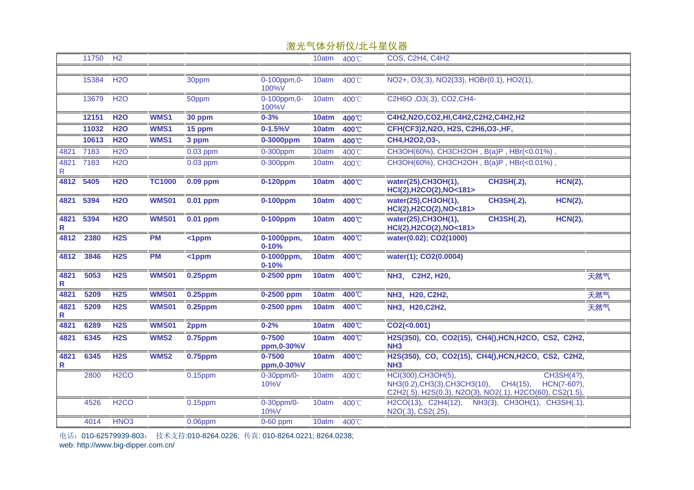|           |           |                   |               |                | <b>1/38 ノレ</b>          |       | $\frac{1}{2}$ $\frac{1}{2}$ $\frac{1}{2}$ $\frac{1}{2}$ $\frac{1}{2}$ $\frac{1}{2}$ $\frac{1}{2}$ $\frac{1}{2}$ $\frac{1}{2}$ $\frac{1}{2}$ $\frac{1}{2}$ $\frac{1}{2}$ |                                                                                                                                                           |     |
|-----------|-----------|-------------------|---------------|----------------|-------------------------|-------|-------------------------------------------------------------------------------------------------------------------------------------------------------------------------|-----------------------------------------------------------------------------------------------------------------------------------------------------------|-----|
|           | 11750     | H <sub>2</sub>    |               |                |                         | 10atm | 400°C                                                                                                                                                                   | <b>COS, C2H4, C4H2</b>                                                                                                                                    |     |
|           |           |                   |               |                |                         |       |                                                                                                                                                                         |                                                                                                                                                           |     |
|           | 15384     | H <sub>2</sub> O  |               | 30ppm          | 0-100ppm,0-<br>100%V    | 10atm | 400°C                                                                                                                                                                   | NO2+, O3(.3), NO2(33), HOBr(0.1), HO2(1),                                                                                                                 |     |
|           | 13679     | H <sub>2</sub> O  |               | 50ppm          | 0-100ppm,0-<br>100%V    | 10atm | 400°C                                                                                                                                                                   | C2H6O, O3(.3), CO2, CH4-                                                                                                                                  |     |
|           | 12151     | <b>H2O</b>        | WMS1          | 30 ppm         | $0 - 3%$                | 10atm | 400°C                                                                                                                                                                   | C4H2,N2O,CO2,HI,C4H2,C2H2,C4H2,H2                                                                                                                         |     |
|           | 11032     | <b>H2O</b>        | WMS1          | 15 ppm         | $0 - 1.5%V$             | 10atm | 400°C                                                                                                                                                                   | CFH(CF3)2, N2O, H2S, C2H6, O3-, HF,                                                                                                                       |     |
|           | 10613     | <b>H2O</b>        | WMS1          | 3 ppm          | 0-3000ppm               | 10atm | 400°C                                                                                                                                                                   | CH4, H2O2, O3-,                                                                                                                                           |     |
| 4821      | 7183      | <b>H2O</b>        |               | $0.03$ ppm     | 0-300ppm                | 10atm | 400°C                                                                                                                                                                   | CH3OH(60%), CH3CH2OH, B(a)P, HBr(<0.01%).                                                                                                                 |     |
| R.        | 4821 7183 | <b>H2O</b>        |               | $0.03$ ppm     | 0-300ppm                | 10atm | 400°C                                                                                                                                                                   | CH3OH(60%), CH3CH2OH, B(a)P, HBr(<0.01%),                                                                                                                 |     |
| 4812      | 5405      | <b>H2O</b>        | <b>TC1000</b> | 0.09 ppm       | 0-120ppm                | 10atm | 400°C                                                                                                                                                                   | water(25), CH3OH(1),<br><b>CH3SH(.2),</b><br>HCN(2),<br>HCl(2), H2CO(2), NO<181>                                                                          |     |
| 4821      | 5394      | <b>H2O</b>        | <b>WMS01</b>  | 0.01 ppm       | 0-100ppm                | 10atm | 400°C                                                                                                                                                                   | <b>CH3SH(.2),</b><br><b>HCN(2),</b><br>water(25), CH3OH(1),<br>HCl(2), H2CO(2), NO<181>                                                                   |     |
| 4821<br>R | 5394      | <b>H2O</b>        | <b>WMS01</b>  | $0.01$ ppm     | $0-100$ ppm             | 10atm | 400°C                                                                                                                                                                   | <b>CH3SH(.2),</b><br><b>HCN(2),</b><br>water(25), CH3OH(1),<br>HCl(2), H2CO(2), NO<181>                                                                   |     |
| 4812      | 2380      | <b>H2S</b>        | <b>PM</b>     | $<$ 1 $ppm$    | 0-1000ppm,<br>$0 - 10%$ | 10atm | 400°C                                                                                                                                                                   | water(0.02); CO2(1000)                                                                                                                                    |     |
| 4812      | 3846      | H2S               | <b>PM</b>     | <1ppm          | 0-1000ppm,<br>$0 - 10%$ | 10atm | 400°C                                                                                                                                                                   | water(1); CO2(0.0004)                                                                                                                                     |     |
| 4821<br>R | 5053      | H2S               | <b>WMS01</b>  | $0.25$ ppm     | 0-2500 ppm              | 10atm | 400°C                                                                                                                                                                   | NH3, C2H2, H20,                                                                                                                                           | 天然气 |
| 4821      | 5209      | H2S               | <b>WMS01</b>  | <b>0.25ppm</b> | 0-2500 ppm              | 10atm | 400°C                                                                                                                                                                   | NH3, H20, C2H2,                                                                                                                                           | 天然气 |
| 4821<br>R | 5209      | H <sub>2</sub> S  | <b>WMS01</b>  | 0.25ppm        | 0-2500 ppm              | 10atm | 400°C                                                                                                                                                                   | NH3, H20, C2H2,                                                                                                                                           | 天然气 |
| 4821      | 6289      | H <sub>2</sub> S  | <b>WMS01</b>  | 2ppm           | $0 - 2%$                | 10atm | 400°C                                                                                                                                                                   | CO2( <sub>0.001</sub> )                                                                                                                                   |     |
| 4821      | 6345      | H <sub>2</sub> S  | WMS2          | $0.75$ ppm     | 0-7500<br>ppm,0-30%V    | 10atm | 400°C                                                                                                                                                                   | H2S(350), CO, CO2(15), CH4(), HCN, H2CO, CS2, C2H2,<br>NH <sub>3</sub>                                                                                    |     |
| 4821<br>R | 6345      | H <sub>2</sub> S  | WMS2          | $0.75$ ppm     | 0-7500<br>ppm,0-30%V    | 10atm | 400°C                                                                                                                                                                   | H2S(350), CO, CO2(15), CH4(), HCN, H2CO, CS2, C2H2,<br>NH <sub>3</sub>                                                                                    |     |
|           | 2800      | H <sub>2</sub> CO |               | $0.15$ ppm     | 0-30ppm/0-<br>10%V      | 10atm | 400°C                                                                                                                                                                   | HCI(300), CH3OH(5),<br>CH3SH(4?),<br>NH3(0.2), CH3(3), CH3CH3(10),<br>CH4(15),<br>HCN(7-60?),<br>C2H2(.5), H2S(0.3), N2O(3), NO2(.1), H2CO(60), CS2(1.5), |     |
|           | 4526      | H <sub>2</sub> CO |               | $0.15$ ppm     | 0-30ppm/0-<br>10%V      | 10atm | 400°C                                                                                                                                                                   | H2CO(13), C2H4(12),<br>NH3(3), CH3OH(1), CH3SH(.1),<br>N2O(.3), CS2(.25),                                                                                 |     |
|           | 4014      | HNO <sub>3</sub>  |               | $0.06$ ppm     | $0-60$ ppm              | 10atm | 400°C                                                                                                                                                                   |                                                                                                                                                           |     |
|           |           |                   |               |                |                         |       |                                                                                                                                                                         |                                                                                                                                                           |     |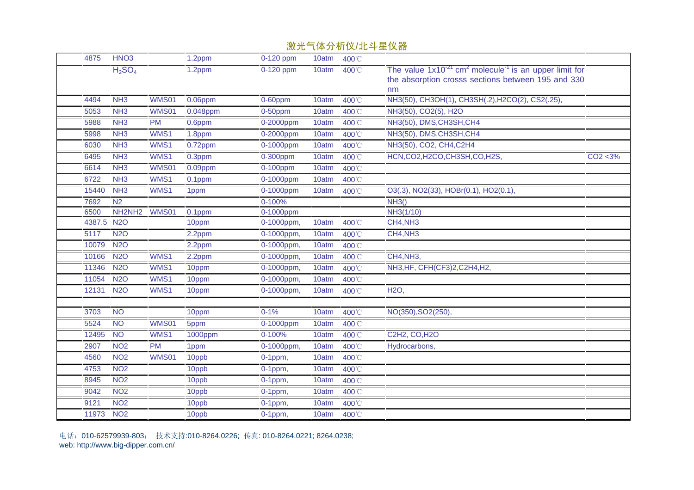| 4875   | HNO <sub>3</sub>               |              | 1.2ppm     | $0-120$ ppm  | 10atm | 400°C |                                                                                                                                                 |          |
|--------|--------------------------------|--------------|------------|--------------|-------|-------|-------------------------------------------------------------------------------------------------------------------------------------------------|----------|
|        | H <sub>2</sub> SO <sub>4</sub> |              | 1.2ppm     | 0-120 ppm    | 10atm | 400°C | The value $1x10^{-21}$ cm <sup>2</sup> molecule <sup>-1</sup> is an upper limit for<br>the absorption crosss sections between 195 and 330<br>nm |          |
| 4494   | NH <sub>3</sub>                | <b>WMS01</b> | $0.06$ ppm | 0-60ppm      | 10atm | 400°C | NH3(50), CH3OH(1), CH3SH(.2), H2CO(2), CS2(.25),                                                                                                |          |
| 5053   | NH <sub>3</sub>                | <b>WMS01</b> | 0.048ppm   | $0-50$ ppm   | 10atm | 400°C | NH3(50), CO2(5), H2O                                                                                                                            |          |
| 5988   | NH <sub>3</sub>                | <b>PM</b>    | $0.6$ ppm  | $0-2000$ ppm | 10atm | 400°C | NH3(50), DMS, CH3SH, CH4                                                                                                                        |          |
| 5998   | NH <sub>3</sub>                | WMS1         | 1.8ppm     | 0-2000ppm    | 10atm | 400°C | NH3(50), DMS, CH3SH, CH4                                                                                                                        |          |
| 6030   | NH <sub>3</sub>                | WMS1         | 0.72ppm    | 0-1000ppm    | 10atm | 400°C | NH3(50), CO2, CH4, C2H4                                                                                                                         |          |
| 6495   | NH3                            | WMS1         | 0.3ppm     | 0-300ppm     | 10atm | 400°C | HCN,CO2,H2CO,CH3SH,CO,H2S,                                                                                                                      | CO2 < 3% |
| 6614   | NH <sub>3</sub>                | <b>WMS01</b> | $0.09$ ppm | 0-100ppm     | 10atm | 400°C |                                                                                                                                                 |          |
| 6722   | NH <sub>3</sub>                | WMS1         | 0.1ppm     | 0-1000ppm    | 10atm | 400°C |                                                                                                                                                 |          |
| 15440  | NH <sub>3</sub>                | WMS1         | 1ppm       | 0-1000ppm    | 10atm | 400°C | O3(.3), NO2(33), HOBr(0.1), HO2(0.1),                                                                                                           |          |
| 7692   | N <sub>2</sub>                 |              |            | 0-100%       |       |       | NH3()                                                                                                                                           |          |
| 6500   | NH2NH2                         | <b>WMS01</b> | $0.1$ ppm  | 0-1000ppm    |       |       | NH3(1/10)                                                                                                                                       |          |
| 4387.5 | <b>N2O</b>                     |              | 10ppm      | 0-1000ppm,   | 10atm | 400°C | CH4,NH3                                                                                                                                         |          |
| 5117   | <b>N2O</b>                     |              | 2.2ppm     | 0-1000ppm,   | 10atm | 400°C | CH4, NH3                                                                                                                                        |          |
| 10079  | <b>N2O</b>                     |              | 2.2ppm     | 0-1000ppm,   | 10atm | 400°C |                                                                                                                                                 |          |
| 10166  | <b>N2O</b>                     | WMS1         | 2.2ppm     | 0-1000ppm,   | 10atm | 400°C | CH4, NH3,                                                                                                                                       |          |
| 11346  | <b>N2O</b>                     | WMS1         | 10ppm      | 0-1000ppm,   | 10atm | 400°C | NH3, HF, CFH(CF3) 2, C2H4, H2,                                                                                                                  |          |
| 11054  | <b>N2O</b>                     | WMS1         | 10ppm      | 0-1000ppm,   | 10atm | 400°C |                                                                                                                                                 |          |
| 12131  | <b>N2O</b>                     | WMS1         | 10ppm      | 0-1000ppm,   | 10atm | 400°C | <b>H2O,</b>                                                                                                                                     |          |
|        |                                |              |            |              |       |       |                                                                                                                                                 |          |
| 3703   | <b>NO</b>                      |              | 10ppm      | $0 - 1%$     | 10atm | 400°C | NO(350), SO2(250)                                                                                                                               |          |
| 5524   | <b>NO</b>                      | WMS01        | 5ppm       | 0-1000ppm    | 10atm | 400°C |                                                                                                                                                 |          |
| 12495  | N <sub>O</sub>                 | WMS1         | 1000ppm    | 0-100%       | 10atm | 400°C | C2H2, CO, H2O                                                                                                                                   |          |
| 2907   | NO <sub>2</sub>                | <b>PM</b>    | 1ppm       | 0-1000ppm,   | 10atm | 400°C | Hydrocarbons,                                                                                                                                   |          |
| 4560   | <b>NO2</b>                     | <b>WMS01</b> | 10ppb      | $0-1$ ppm,   | 10atm | 400°C |                                                                                                                                                 |          |
| 4753   | NO <sub>2</sub>                |              | 10ppb      | $0-1$ ppm,   | 10atm | 400°C |                                                                                                                                                 |          |
| 8945   | NO <sub>2</sub>                |              | 10ppb      | $0-1$ ppm,   | 10atm | 400°C |                                                                                                                                                 |          |
| 9042   | NO <sub>2</sub>                |              | 10ppb      | $0-1$ ppm,   | 10atm | 400°C |                                                                                                                                                 |          |
| 9121   | NO <sub>2</sub>                |              | 10ppb      | $0-1$ ppm,   | 10atm | 400°C |                                                                                                                                                 |          |
| 11973  | NO <sub>2</sub>                |              | 10ppb      | $0-1$ ppm,   | 10atm | 400°C |                                                                                                                                                 |          |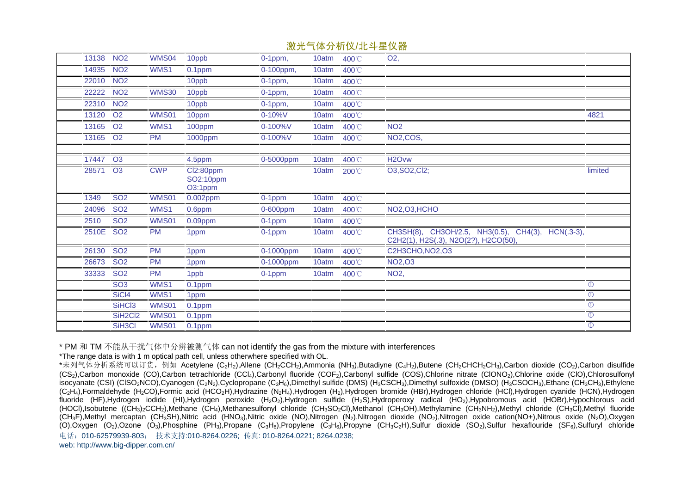|           |                                  |                              |                                   |              |       | //从ノし 【 いわノバ ハバ スレードエント 田 |                                                                                           |                |
|-----------|----------------------------------|------------------------------|-----------------------------------|--------------|-------|---------------------------|-------------------------------------------------------------------------------------------|----------------|
| 13138     | NO <sub>2</sub>                  | <b>WMS04</b>                 | 10ppb                             | $0-1$ ppm,   | 10atm | 400°C                     | O <sub>2</sub> ,                                                                          |                |
| 14935     | NO <sub>2</sub>                  | WMS1                         | 0.1ppm                            | 0-100ppm,    | 10atm | 400°C                     |                                                                                           |                |
| 22010     | NO <sub>2</sub>                  |                              | 10ppb                             | $0-1$ ppm,   | 10atm | 400°C                     |                                                                                           |                |
| 22222     | NO <sub>2</sub>                  | <b>WMS30</b>                 | 10ppb                             | $0-1$ ppm,   | 10atm | 400°C                     |                                                                                           |                |
| 22310     | NO <sub>2</sub>                  |                              | 10ppb                             | $0-1$ ppm,   | 10atm | 400°C                     |                                                                                           |                |
| 13120     | O <sub>2</sub>                   | WMS01                        | 10ppm                             | $0 - 10\%$ V | 10atm | 400°C                     |                                                                                           | 4821           |
| 13165     | O <sub>2</sub>                   | WMS1                         | 100ppm                            | 0-100%V      | 10atm | 400°C                     | NO <sub>2</sub>                                                                           |                |
| 13165 O2  |                                  | <b>PM</b>                    | 1000ppm                           | 0-100%V      | 10atm | 400°C                     | NO2,COS,                                                                                  |                |
|           |                                  |                              |                                   |              |       |                           |                                                                                           |                |
| 17447 O3  |                                  |                              | 4.5ppm                            | 0-5000ppm    | 10atm | 400°C                     | H <sub>2</sub> Ovw                                                                        |                |
| 28571     | O <sub>3</sub>                   | <b>CWP</b>                   | Cl2:80ppm<br>SO2:10ppm<br>O3:1ppm |              | 10atm | 200°C                     | O3, SO2, Cl2;                                                                             | limited        |
|           | <b>SO2</b>                       |                              |                                   |              |       |                           |                                                                                           |                |
| 1349      |                                  | WMS01                        | 0.002ppm                          | 0-1ppm       | 10atm | 400°C                     |                                                                                           |                |
| 24096     | <b>SO2</b>                       | WMS1                         | 0.6ppm                            | 0-600ppm     | 10atm | 400°C                     | NO2, O3, HCHO                                                                             |                |
| 2510      | <b>SO2</b>                       | WMS01                        | $0.09$ ppm                        | 0-1ppm       | 10atm | 400°C                     |                                                                                           |                |
| 2510E SO2 |                                  | <b>PM</b>                    | 1ppm                              | 0-1ppm       | 10atm | 400°C                     | CH3SH(8), CH3OH/2.5, NH3(0.5), CH4(3), HCN(.3-3),<br>C2H2(1), H2S(.3), N2O(2?), H2CO(50), |                |
| 26130     | SO <sub>2</sub>                  | <b>PM</b>                    | 1ppm                              | 0-1000ppm    | 10atm | 400°C                     | C2H3CHO, NO2, O3                                                                          |                |
| 26673     | <b>SO2</b>                       | <b>PM</b>                    | 1ppm                              | 0-1000ppm    | 10atm | 400°C                     | NO2,03                                                                                    |                |
| 33333     | <b>SO2</b>                       | <b>PM</b>                    | 1ppb                              | 0-1ppm       | 10atm | 400°C                     | NO <sub>2</sub> ,                                                                         |                |
|           | SO <sub>3</sub>                  | WMS1                         | $0.1$ ppm                         |              |       |                           |                                                                                           | $\circled{0}$  |
|           | SiC <sub>I4</sub>                | WMS1                         | 1ppm                              |              |       |                           |                                                                                           | $\circledcirc$ |
|           | SiHCl3                           | <b>WMS01</b>                 | 0.1ppm                            |              |       |                           |                                                                                           | $\circled{0}$  |
|           | SiH <sub>2</sub> Cl <sub>2</sub> | <b>WMS01</b><br><b>WMS01</b> | 0.1ppm                            |              |       |                           |                                                                                           | $\circ$        |

\* PM 和 TM 不能从干扰气体中分辨被测气体 can not identify the gas from the mixture with interferences

\*The range data is with 1 m optical path cell, unless otherwhere specified with OL.

电话:010-62579939-803; 技术支持:010-8264.0226; 传真: 010-8264.0221; 8264.0238; web: http://www.big-dipper.com.cn/ \*未列气体分析系统可以订货, 例如 Acetylene (C<sub>2</sub>H<sub>2</sub>),Allene (CH<sub>2</sub>CCH<sub>2</sub>),Ammonia (NH<sub>3</sub>),Butadiyne (C<sub>4</sub>H<sub>2</sub>),Butene (CH<sub>2</sub>CHCH<sub>2</sub>CH<sub>3</sub>),Carbon dioxide (CO<sub>2</sub>),Carbon disulfide (CS<sub>2</sub>),Carbon monoxide (CO),Carbon tetrachloride (CCl<sub>4</sub>),Carbonyl fluoride (COF<sub>2</sub>),Carbonyl sulfide (COS),Chlorine nitrate (CIONO<sub>2</sub>),Chlorine oxide (CIO),Chlorosulfonyl isocyanate (CSI) (ClSO2NCO),Cyanogen (C2N2),Cyclopropane (C3H6),Dimethyl sulfide (DMS) (H3CSCH3),Dimethyl sulfoxide (DMSO) (H3CSOCH3),Ethane (CH3CH3),Ethylene (C2H4),Formaldehyde (H2CO),Formic acid (HCO2H),Hydrazine (N2H4),Hydrogen (H2),Hydrogen bromide (HBr),Hydrogen chloride (HCl),Hydrogen cyanide (HCN),Hydrogen fluoride (HF),Hydrogen iodide (HI),Hydrogen peroxide (H2O2),Hydrogen sulfide (H2S),Hydroperoxy radical (HO2),Hypobromous acid (HOBr),Hypochlorous acid (HOCl),Isobutene ((CH3)2CCH2),Methane (CH4),Methanesulfonyl chloride (CH3SO2Cl),Methanol (CH3OH),Methylamine (CH3NH2),Methyl chloride (CH3Cl),Methyl fluoride (CH3F),Methyl mercaptan (CH3SH),Nitric acid (HNO3),Nitric oxide (NO),Nitrogen (N2),Nitrogen dioxide (NO2),Nitrogen oxide cation(NO+),Nitrous oxide (N2O),Oxygen (O),Oxygen (O<sub>2</sub>),Ozone (O<sub>3</sub>),Phosphine (PH<sub>3</sub>),Propane (C<sub>3</sub>H<sub>8</sub>),Propylene (C<sub>3</sub>H<sub>6</sub>),Propyne (CH<sub>3</sub>C<sub>2</sub>H),Sulfur dioxide (SO<sub>2</sub>),Sulfur hexaflouride (SF<sub>6</sub>),Sulfuryl chloride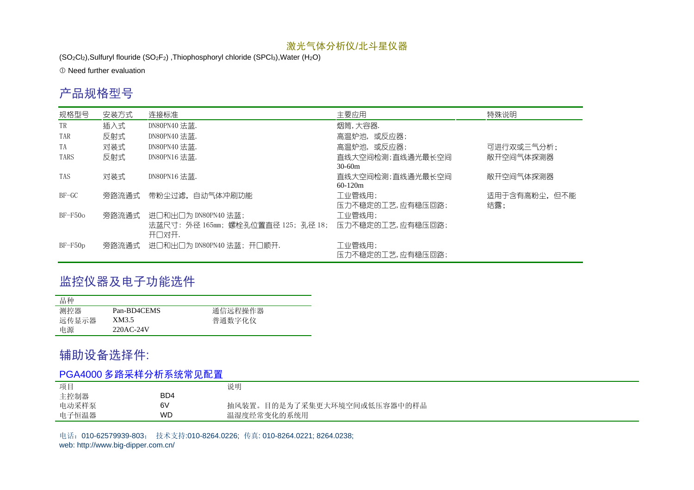$(SO_2Cl_2)$ , Sulfuryl flouride  $(SO_2F_2)$ , Thiophosphoryl chloride  $(SPCI_3)$ , Water  $(H_2O)$ 

**C** Need further evaluation

### 产品规格型号

| 规格型号        | 安装方式  | 连接标准                                                      | 主要应用                          | 特殊说明                |
|-------------|-------|-----------------------------------------------------------|-------------------------------|---------------------|
| TR          | 插入式   | DN80PN40 法蓝.                                              | 烟筒,大容器.                       |                     |
| TAR         | 反射式   | DN80PN40 法蓝.                                              | 高温炉池,或反应器;                    |                     |
| TA          | 对装式   | DN80PN40 法蓝.                                              | 高温炉池,或反应器;                    | 可进行双或三气分析;          |
| <b>TARS</b> | 反射式   | DN80PN16 法蓝.                                              | 直线大空间检测;直线通光最长空间<br>$30-60m$  | 敞开空间气体探测器           |
| TAS         | 对装式   | DN80PN16 法蓝.                                              | 直线大空间检测;直线通光最长空间<br>$60-120m$ | 敞开空间气体探测器           |
| $BF-GC$     | 旁路流通式 | 带粉尘过滤,自动气体冲刷功能                                            | 工业管线用:<br>压力不稳定的工艺,应有稳压回路;    | 适用于含有高粉尘,但不能<br>结露; |
| $BF-F50o$   | 旁路流通式 | 进口和出口为 DN80PN40 法蓝;                                       | 工业管线用:                        |                     |
|             |       | 法蓝尺寸:外径 165㎜;螺栓孔位置直径 125;孔径 18; 压力不稳定的工艺,应有稳压回路;<br>开口对开. |                               |                     |
| $BF-F50p$   | 旁路流通式 | 讲口和出口为 DN80PN40 法蓝:开口顺开.                                  | 工业管线用:<br>压力不稳定的工艺,应有稳压回路;    |                     |

### 监控仪器及电子功能选件

| 品种    |             |         |
|-------|-------------|---------|
| 测控器   | Pan-BD4CEMS | 通信远程操作器 |
| 远传显示器 | XM3.5       | 普通数字化仪  |
| 电源    | 220AC-24V   |         |

## 辅助设备选择件:

### PGA4000 多路采样分析系统常见配置

| 项目    |     | 说明                          |
|-------|-----|-----------------------------|
| 主控制器  | BD4 |                             |
| 电动采样泵 | 6V  | 抽风装置。目的是为了采集更大环境空间或低压容器中的样品 |
| 电子恒温器 | WD  | 温湿度经常变化的系统用                 |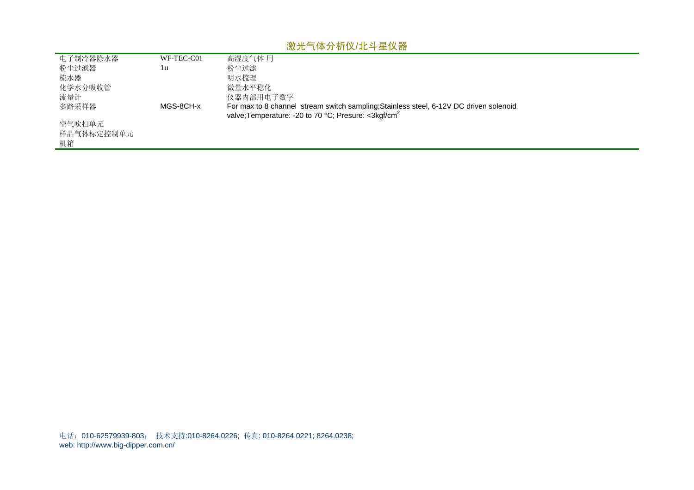| 电子制冷器除水器   | WF-TEC-C01 | 高湿度气体 用                                                                                                                                                              |
|------------|------------|----------------------------------------------------------------------------------------------------------------------------------------------------------------------|
| 粉尘过滤器      | 1u         | 粉尘过滤                                                                                                                                                                 |
| 梳水器        |            | 明水梳理                                                                                                                                                                 |
| 化学水分吸收管    |            | 微量水平稳化                                                                                                                                                               |
| 流量计        |            | 仪器内部用电子数字                                                                                                                                                            |
| 多路采样器      | MGS-8CH-x  | For max to 8 channel stream switch sampling; Stainless steel, 6-12V DC driven solenoid<br>valve; Temperature: -20 to 70 $^{\circ}$ C; Presure: <3kgf/cm <sup>2</sup> |
| 空气吹扫单元     |            |                                                                                                                                                                      |
| 样品气体标定控制单元 |            |                                                                                                                                                                      |
| 机箱         |            |                                                                                                                                                                      |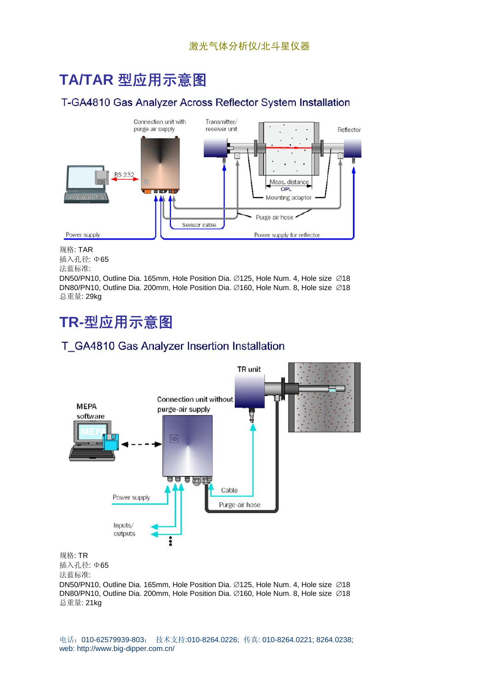## **TA/TAR** 型应用示意图

### T-GA4810 Gas Analyzer Across Reflector System Installation



规格: TAR 插入孔径: Φ65 法蓝标准:

DN50/PN10, Outline Dia. 165mm, Hole Position Dia. ∅125, Hole Num. 4, Hole size ∅18 DN80/PN10, Outline Dia. 200mm, Hole Position Dia. ∅160, Hole Num. 8, Hole size ∅18 总重量: 29kg

## **TR-**型应用示意图

### T\_GA4810 Gas Analyzer Insertion Installation



插入孔径: Φ65

法蓝标准:

DN50/PN10, Outline Dia. 165mm, Hole Position Dia. ∅125, Hole Num. 4, Hole size ∅18 DN80/PN10, Outline Dia. 200mm, Hole Position Dia. ∅160, Hole Num. 8, Hole size ∅18 总重量: 21kg